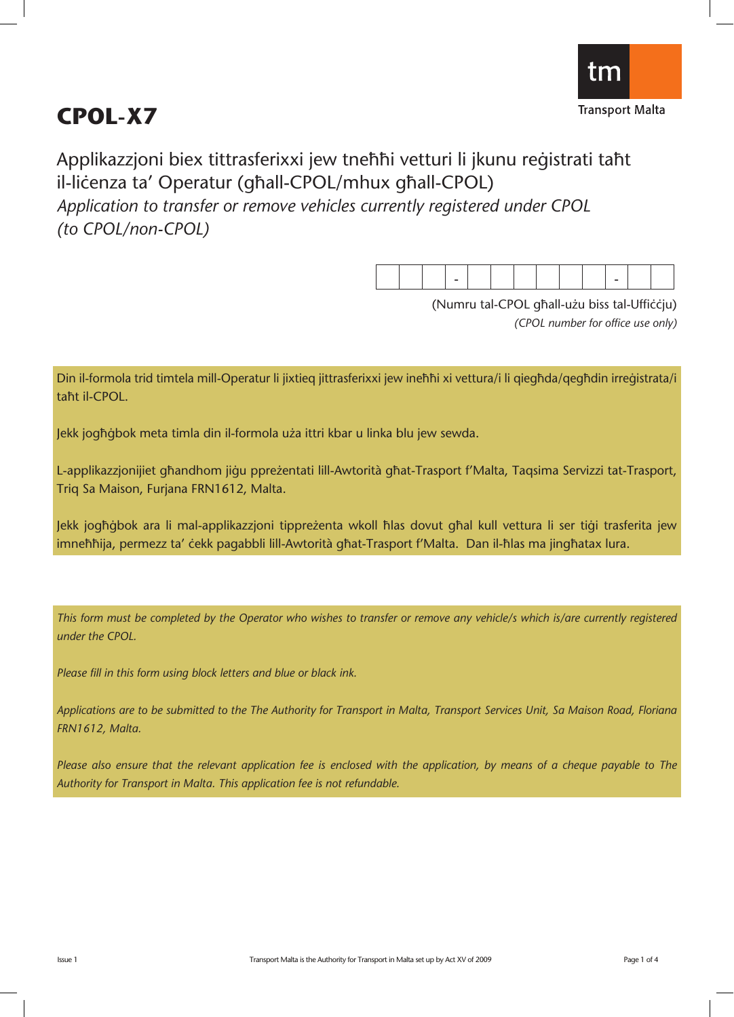

# **CPOL-X7**

Applikazzjoni biex tittrasferixxi jew tneħħi vetturi li jkunu reģistrati taħt il-licenza ta' Operatur (għall-CPOL/mhux għall-CPOL) *Application to transfer or remove vehicles currently registered under CPOL (to CPOL/non-CPOL)*

(Numru tal-CPOL għall-użu biss tal-Ufficcju) *(CPOL number for office use only)*

Din il-formola trid timtela mill-Operatur li jixtieq jittrasferixxi jew ineħħi xi vettura/i li qiegħda/qegħdin irreġistrata/i taħt il-CPOL.

Jekk jogħġbok meta timla din il-formola uża ittri kbar u linka blu jew sewda.

L-applikazzjonijiet għandhom jiġu ppreżentati lill-Awtorità għat-Trasport f'Malta, Taqsima Servizzi tat-Trasport, Triq Sa Maison, Furjana FRN1612, Malta.

Jekk jogħġbok ara li mal-applikazzjoni tippreżenta wkoll ħlas dovut għal kull vettura li ser tiġi trasferita jew imnehhija, permezz ta' cekk pagabbli lill-Awtorità ghat-Trasport f'Malta. Dan il-hlas ma jinghatax lura.

*This form must be completed by the Operator who wishes to transfer or remove any vehicle/s which is/are currently registered under the CPOL.*

*Please fill in this form using block letters and blue or black ink.* 

*Applications are to be submitted to the The Authority for Transport in Malta, Transport Services Unit, Sa Maison Road, Floriana FRN1612, Malta.*

*Please also ensure that the relevant application fee is enclosed with the application, by means of a cheque payable to The Authority for Transport in Malta. This application fee is not refundable.*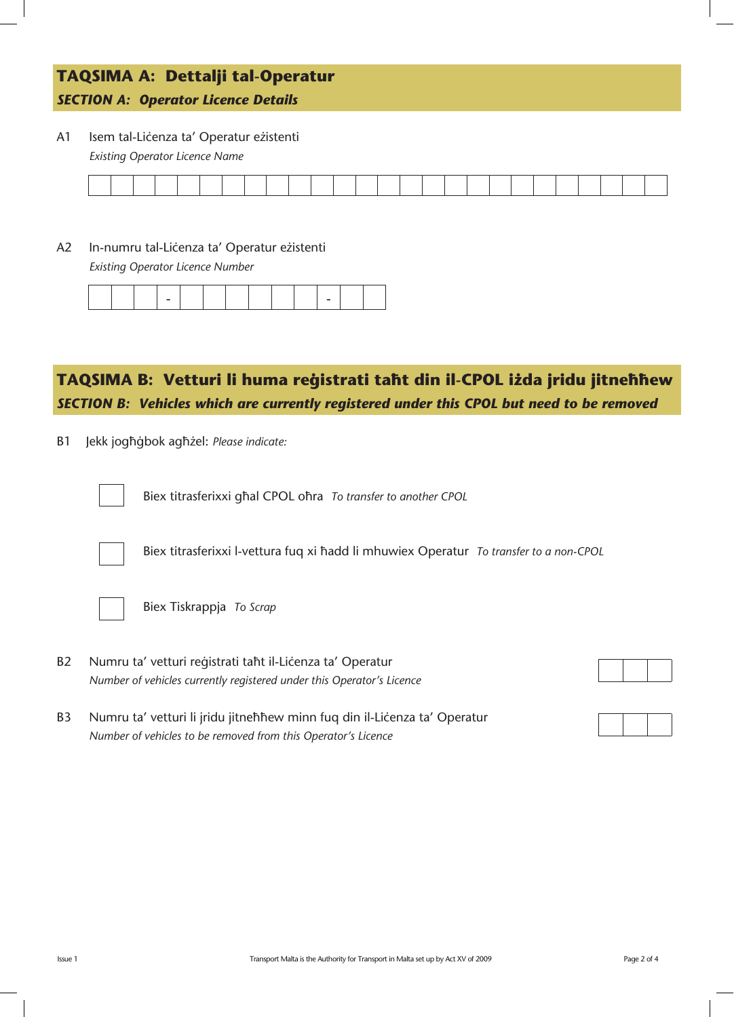#### **TAQSIMA A: Dettalji tal-Operatur** *SECTION A: Operator Licence Details*

A1 Isem tal-Liċenza ta' Operatur eżistenti *Existing Operator Licence Name*

A2 In-numru tal-Liċenza ta' Operatur eżistenti

*Existing Operator Licence Number*

#### TAQSIMA B: Vetturi li huma reģistrati taħt din il-CPOL iżda jridu jitneħħew *SECTION B: Vehicles which are currently registered under this CPOL but need to be removed*

B1 Jekk jogħġbok agħżel: Please indicate:



Biex titrasferixxi għal CPOL oħra *To transfer to another CPOL* 



Biex titrasferixxi l-vettura fuq xi hadd li mhuwiex Operatur *To transfer to a non-CPOL* 



Biex Tiskrappja *To Scrap*

B2 Numru ta' vetturi reģistrati taht il-Lićenza ta' Operatur *Number of vehicles currently registered under this Operator's Licence*



B3 Numru ta' vetturi li jridu jitneħhew minn fuq din il-Liċenza ta' Operatur *Number of vehicles to be removed from this Operator's Licence*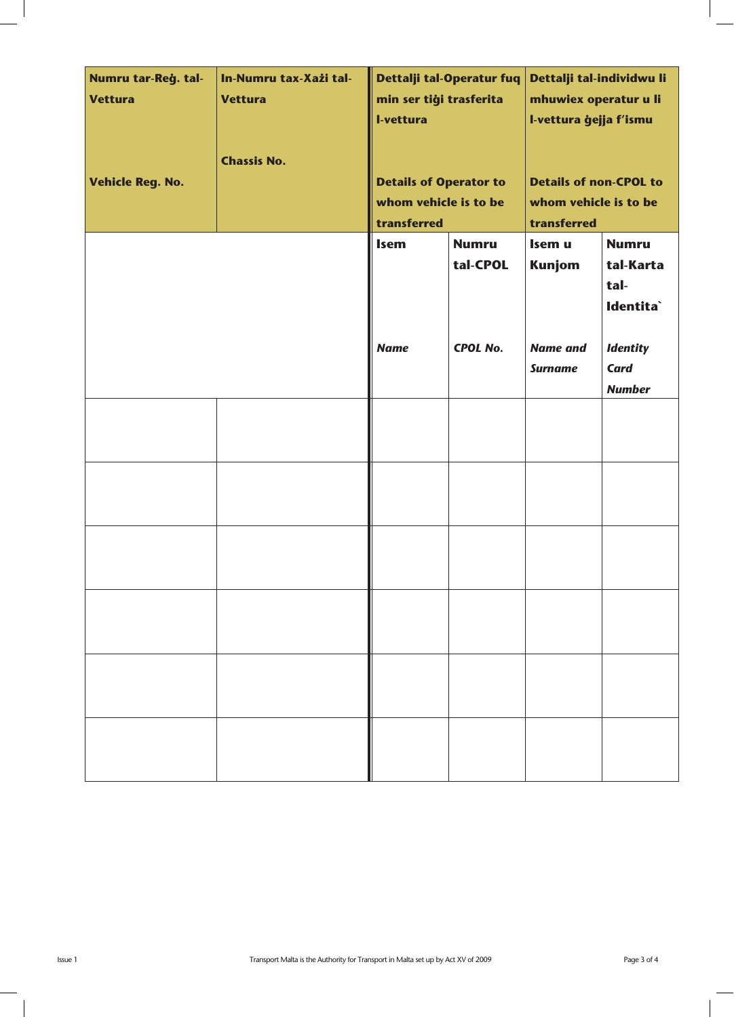| Numru tar-Reġ. tal-<br><b>Vettura</b><br><b>Vehicle Reg. No.</b> | In-Numru tax-Xażi tal-<br><b>Vettura</b><br><b>Chassis No.</b> | min ser tiği trasferita<br>I-vettura<br><b>Details of Operator to</b><br>whom vehicle is to be<br>transferred | Dettalji tal-Operatur fuq                   | Dettalji tal-individwu li<br>mhuwiex operatur u li<br>I-vettura ģejja f'ismu<br><b>Details of non-CPOL to</b><br>whom vehicle is to be<br>transferred |                                                                   |  |  |  |  |
|------------------------------------------------------------------|----------------------------------------------------------------|---------------------------------------------------------------------------------------------------------------|---------------------------------------------|-------------------------------------------------------------------------------------------------------------------------------------------------------|-------------------------------------------------------------------|--|--|--|--|
|                                                                  |                                                                | <b>Isem</b><br><b>Name</b>                                                                                    | <b>Numru</b><br>tal-CPOL<br><b>CPOL No.</b> | Isem u<br><b>Kunjom</b><br><b>Name and</b>                                                                                                            | <b>Numru</b><br>tal-Karta<br>tal-<br>Identita`<br><b>Identity</b> |  |  |  |  |
|                                                                  |                                                                |                                                                                                               |                                             | <b>Surname</b>                                                                                                                                        | <b>Card</b><br><b>Number</b>                                      |  |  |  |  |
|                                                                  |                                                                |                                                                                                               |                                             |                                                                                                                                                       |                                                                   |  |  |  |  |
|                                                                  |                                                                |                                                                                                               |                                             |                                                                                                                                                       |                                                                   |  |  |  |  |
|                                                                  |                                                                |                                                                                                               |                                             |                                                                                                                                                       |                                                                   |  |  |  |  |
|                                                                  |                                                                |                                                                                                               |                                             |                                                                                                                                                       |                                                                   |  |  |  |  |